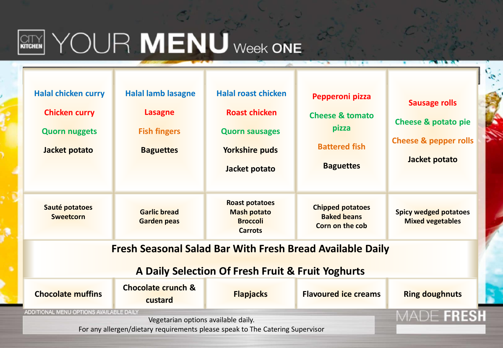

# WEN YOUR MENU Week ONE

| <b>Halal chicken curry</b><br><b>Chicken curry</b><br><b>Quorn nuggets</b><br>Jacket potato                              | <b>Halal lamb lasagne</b><br>Lasagne<br><b>Fish fingers</b><br><b>Baguettes</b> | <b>Halal roast chicken</b><br><b>Roast chicken</b><br><b>Quorn sausages</b><br><b>Yorkshire puds</b><br>Jacket potato | Pepperoni pizza<br><b>Cheese &amp; tomato</b><br>pizza<br><b>Battered fish</b><br><b>Baguettes</b> | <b>Sausage rolls</b><br><b>Cheese &amp; potato pie</b><br><b>Cheese &amp; pepper rolls</b><br>Jacket potato |  |  |
|--------------------------------------------------------------------------------------------------------------------------|---------------------------------------------------------------------------------|-----------------------------------------------------------------------------------------------------------------------|----------------------------------------------------------------------------------------------------|-------------------------------------------------------------------------------------------------------------|--|--|
| Sauté potatoes<br><b>Sweetcorn</b>                                                                                       | <b>Garlic bread</b><br><b>Garden peas</b>                                       | <b>Roast potatoes</b><br><b>Mash potato</b><br><b>Broccoli</b><br><b>Carrots</b>                                      | <b>Chipped potatoes</b><br><b>Baked beans</b><br>Corn on the cob                                   | <b>Spicy wedged potatoes</b><br><b>Mixed vegetables</b>                                                     |  |  |
| Fresh Seasonal Salad Bar With Fresh Bread Available Daily<br>A Daily Selection Of Fresh Fruit & Fruit Yoghurts           |                                                                                 |                                                                                                                       |                                                                                                    |                                                                                                             |  |  |
| <b>Chocolate muffins</b>                                                                                                 | <b>Chocolate crunch &amp;</b><br>custard                                        | <b>Flapjacks</b>                                                                                                      | <b>Flavoured ice creams</b>                                                                        | <b>Ring doughnuts</b>                                                                                       |  |  |
| ADDITIONAL MENU OPTIONS AVAILABLE DAILY<br>For any allergen/dietary requirements please speak to The Catering Supervisor | VIADE FRESI                                                                     |                                                                                                                       |                                                                                                    |                                                                                                             |  |  |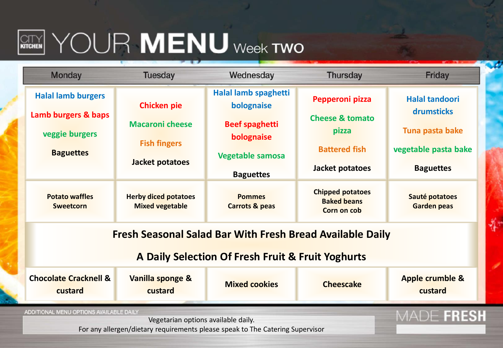### $\left[\begin{matrix} \text{CFT} \end{matrix}\right]$   $\text{YOLR}$   $\text{MENU}$  week two

| <b>Monday</b>                                                                  | <b>Tuesday</b>                                        | Wednesday                                  | <b>Thursday</b>                                              | Friday                                |  |
|--------------------------------------------------------------------------------|-------------------------------------------------------|--------------------------------------------|--------------------------------------------------------------|---------------------------------------|--|
| <b>Halal lamb burgers</b>                                                      | <b>Chicken pie</b>                                    | Halal lamb spaghetti<br>bolognaise         | Pepperoni pizza                                              | <b>Halal tandoori</b>                 |  |
| Lamb burgers & baps<br>veggie burgers                                          | <b>Macaroni cheese</b>                                | <b>Beef spaghetti</b><br>bolognaise        | <b>Cheese &amp; tomato</b><br>pizza                          | drumsticks<br>Tuna pasta bake         |  |
| <b>Baguettes</b>                                                               | <b>Fish fingers</b>                                   | <b>Vegetable samosa</b>                    | <b>Battered fish</b>                                         | vegetable pasta bake                  |  |
|                                                                                | Jacket potatoes                                       | <b>Baguettes</b>                           | Jacket potatoes                                              | <b>Baguettes</b>                      |  |
| <b>Potato waffles</b><br><b>Sweetcorn</b>                                      | <b>Herby diced potatoes</b><br><b>Mixed vegetable</b> | <b>Pommes</b><br><b>Carrots &amp; peas</b> | <b>Chipped potatoes</b><br><b>Baked beans</b><br>Corn on cob | Sauté potatoes<br><b>Garden peas</b>  |  |
| <b>Fresh Seasonal Salad Bar With Fresh Bread Available Daily</b>               |                                                       |                                            |                                                              |                                       |  |
| A Daily Selection Of Fresh Fruit & Fruit Yoghurts                              |                                                       |                                            |                                                              |                                       |  |
| <b>Chocolate Cracknell &amp;</b><br>custard                                    | Vanilla sponge &<br>custard                           | <b>Mixed cookies</b>                       | <b>Cheescake</b>                                             | <b>Apple crumble &amp;</b><br>custard |  |
| ADDITIONAL MENU OPTIONS AVAILABLE DAILY<br>Vegetarian options available daily. |                                                       |                                            |                                                              | MADE FRESH                            |  |

For any allergen/dietary requirements please speak to The Catering Supervisor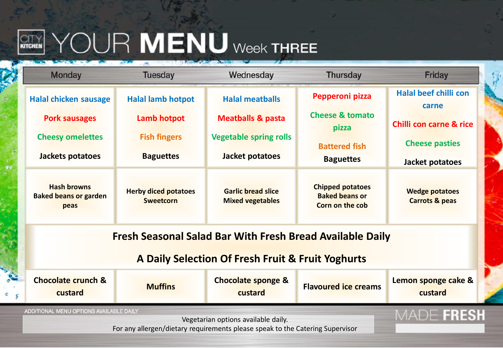## **WENU** WENU Week THREE

| <b>Monday</b>                                                                                                                                                   | <b>Tuesday</b>                                  | Wednesday                                            | <b>Thursday</b>                                                     | Friday                                             |  |
|-----------------------------------------------------------------------------------------------------------------------------------------------------------------|-------------------------------------------------|------------------------------------------------------|---------------------------------------------------------------------|----------------------------------------------------|--|
| <b>Halal chicken sausage</b>                                                                                                                                    | <b>Halal lamb hotpot</b>                        | <b>Halal meatballs</b>                               | Pepperoni pizza                                                     | <b>Halal beef chilli con</b><br>carne              |  |
| <b>Pork sausages</b>                                                                                                                                            | Lamb hotpot                                     | <b>Meatballs &amp; pasta</b>                         | <b>Cheese &amp; tomato</b><br>pizza                                 | <b>Chilli con carne &amp; rice</b>                 |  |
| <b>Cheesy omelettes</b>                                                                                                                                         | <b>Fish fingers</b>                             | <b>Vegetable spring rolls</b>                        | <b>Battered fish</b>                                                | <b>Cheese pasties</b>                              |  |
| Jackets potatoes                                                                                                                                                | <b>Baguettes</b>                                | Jacket potatoes                                      | <b>Baguettes</b>                                                    | Jacket potatoes                                    |  |
| <b>Hash browns</b><br><b>Baked beans or garden</b><br>peas                                                                                                      | <b>Herby diced potatoes</b><br><b>Sweetcorn</b> | <b>Garlic bread slice</b><br><b>Mixed vegetables</b> | <b>Chipped potatoes</b><br><b>Baked beans or</b><br>Corn on the cob | <b>Wedge potatoes</b><br><b>Carrots &amp; peas</b> |  |
| <b>Fresh Seasonal Salad Bar With Fresh Bread Available Daily</b>                                                                                                |                                                 |                                                      |                                                                     |                                                    |  |
| A Daily Selection Of Fresh Fruit & Fruit Yoghurts                                                                                                               |                                                 |                                                      |                                                                     |                                                    |  |
| <b>Chocolate crunch &amp;</b><br>custard                                                                                                                        | <b>Muffins</b>                                  | <b>Chocolate sponge &amp;</b><br>custard             | <b>Flavoured ice creams</b>                                         | Lemon sponge cake &<br>custard                     |  |
| ADDITIONAL MENU OPTIONS AVAILABLE DAILY<br>Vegetarian options available daily.<br>For any allergen/dietary requirements please speak to the Catering Supervisor |                                                 |                                                      |                                                                     | MADE FRESH                                         |  |